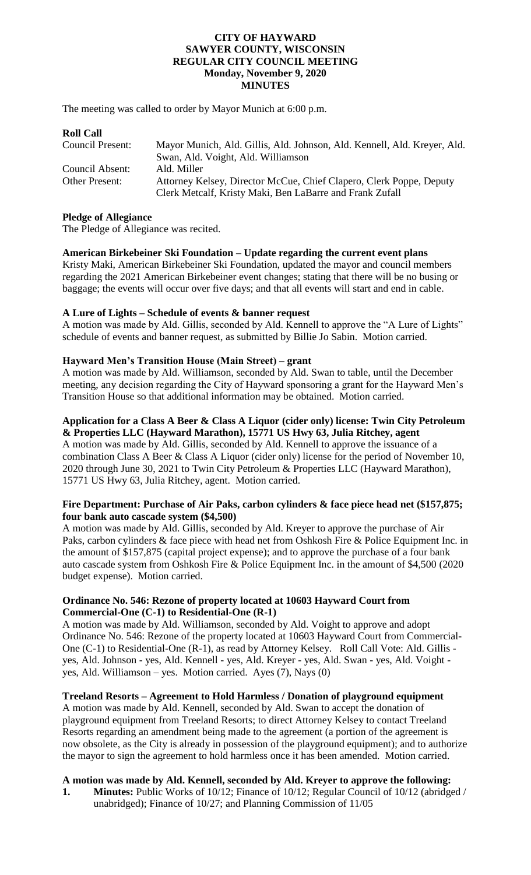#### **CITY OF HAYWARD SAWYER COUNTY, WISCONSIN REGULAR CITY COUNCIL MEETING Monday, November 9, 2020 MINUTES**

The meeting was called to order by Mayor Munich at 6:00 p.m.

## **Roll Call**

| Council Present: | Mayor Munich, Ald. Gillis, Ald. Johnson, Ald. Kennell, Ald. Kreyer, Ald. |
|------------------|--------------------------------------------------------------------------|
|                  | Swan, Ald. Voight, Ald. Williamson                                       |
| Council Absent:  | Ald. Miller                                                              |
| Other Present:   | Attorney Kelsey, Director McCue, Chief Clapero, Clerk Poppe, Deputy      |
|                  | Clerk Metcalf, Kristy Maki, Ben LaBarre and Frank Zufall                 |

#### **Pledge of Allegiance**

The Pledge of Allegiance was recited.

## **American Birkebeiner Ski Foundation – Update regarding the current event plans**

Kristy Maki, American Birkebeiner Ski Foundation, updated the mayor and council members regarding the 2021 American Birkebeiner event changes; stating that there will be no busing or baggage; the events will occur over five days; and that all events will start and end in cable.

## **A Lure of Lights – Schedule of events & banner request**

A motion was made by Ald. Gillis, seconded by Ald. Kennell to approve the "A Lure of Lights" schedule of events and banner request, as submitted by Billie Jo Sabin. Motion carried.

## **Hayward Men's Transition House (Main Street) – grant**

A motion was made by Ald. Williamson, seconded by Ald. Swan to table, until the December meeting, any decision regarding the City of Hayward sponsoring a grant for the Hayward Men's Transition House so that additional information may be obtained. Motion carried.

# **Application for a Class A Beer & Class A Liquor (cider only) license: Twin City Petroleum**

**& Properties LLC (Hayward Marathon), 15771 US Hwy 63, Julia Ritchey, agent** A motion was made by Ald. Gillis, seconded by Ald. Kennell to approve the issuance of a combination Class A Beer & Class A Liquor (cider only) license for the period of November 10, 2020 through June 30, 2021 to Twin City Petroleum & Properties LLC (Hayward Marathon), 15771 US Hwy 63, Julia Ritchey, agent. Motion carried.

## **Fire Department: Purchase of Air Paks, carbon cylinders & face piece head net (\$157,875; four bank auto cascade system (\$4,500)**

A motion was made by Ald. Gillis, seconded by Ald. Kreyer to approve the purchase of Air Paks, carbon cylinders & face piece with head net from Oshkosh Fire & Police Equipment Inc. in the amount of \$157,875 (capital project expense); and to approve the purchase of a four bank auto cascade system from Oshkosh Fire & Police Equipment Inc. in the amount of \$4,500 (2020 budget expense). Motion carried.

## **Ordinance No. 546: Rezone of property located at 10603 Hayward Court from Commercial-One (C-1) to Residential-One (R-1)**

A motion was made by Ald. Williamson, seconded by Ald. Voight to approve and adopt Ordinance No. 546: Rezone of the property located at 10603 Hayward Court from Commercial-One (C-1) to Residential-One (R-1), as read by Attorney Kelsey. Roll Call Vote: Ald. Gillis yes, Ald. Johnson - yes, Ald. Kennell - yes, Ald. Kreyer - yes, Ald. Swan - yes, Ald. Voight yes, Ald. Williamson – yes. Motion carried. Ayes (7), Nays (0)

## **Treeland Resorts – Agreement to Hold Harmless / Donation of playground equipment**

A motion was made by Ald. Kennell, seconded by Ald. Swan to accept the donation of playground equipment from Treeland Resorts; to direct Attorney Kelsey to contact Treeland Resorts regarding an amendment being made to the agreement (a portion of the agreement is now obsolete, as the City is already in possession of the playground equipment); and to authorize the mayor to sign the agreement to hold harmless once it has been amended. Motion carried.

## **A motion was made by Ald. Kennell, seconded by Ald. Kreyer to approve the following:**

**1. Minutes:** Public Works of 10/12; Finance of 10/12; Regular Council of 10/12 (abridged / unabridged); Finance of 10/27; and Planning Commission of 11/05